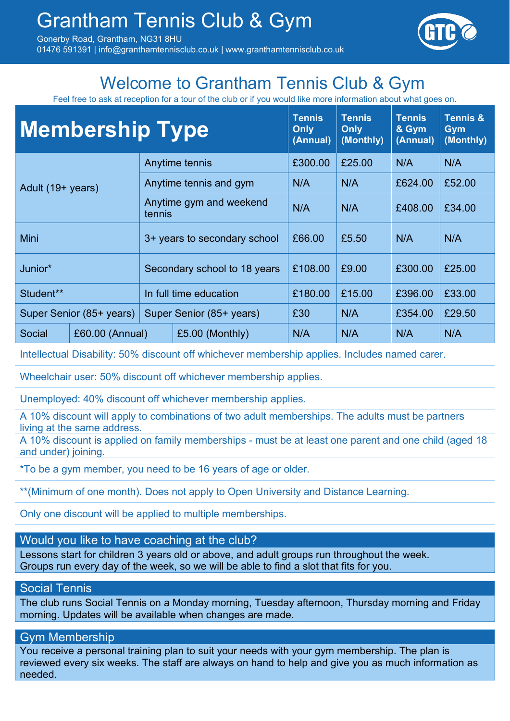01476 591391 | info@granthamtennisclub.co.uk | www.granthamtennisclub.co.uk



### Welcome to Grantham Tennis Club & Gym

Feel free to ask at reception for a tour of the club or if you would like more information about what goes on.

| <b>Membership Type</b>   |                 |                                   |                 | <b>Tennis</b><br><b>Only</b><br>(Annual) | <b>Tennis</b><br><b>Only</b><br>(Monthly) | <b>Tennis</b><br>& Gym<br>(Annual) | <b>Tennis &amp;</b><br><b>Gym</b><br>(Monthly) |
|--------------------------|-----------------|-----------------------------------|-----------------|------------------------------------------|-------------------------------------------|------------------------------------|------------------------------------------------|
|                          | Anytime tennis  |                                   | £300.00         | £25.00                                   | N/A                                       | N/A                                |                                                |
| Adult (19+ years)        |                 | Anytime tennis and gym            |                 | N/A                                      | N/A                                       | £624.00                            | £52.00                                         |
|                          |                 | Anytime gym and weekend<br>tennis |                 | N/A                                      | N/A                                       | £408.00                            | £34.00                                         |
| Mini                     |                 | 3+ years to secondary school      |                 | £66.00                                   | £5.50                                     | N/A                                | N/A                                            |
| Junior*                  |                 | Secondary school to 18 years      |                 | £108.00                                  | £9.00                                     | £300.00                            | £25.00                                         |
| Student**                |                 | In full time education            |                 | £180.00                                  | £15.00                                    | £396.00                            | £33.00                                         |
| Super Senior (85+ years) |                 | Super Senior (85+ years)          |                 | £30                                      | N/A                                       | £354.00                            | £29.50                                         |
| <b>Social</b>            | £60.00 (Annual) |                                   | £5.00 (Monthly) | N/A                                      | N/A                                       | N/A                                | N/A                                            |

Intellectual Disability: 50% discount off whichever membership applies. Includes named carer.

Wheelchair user: 50% discount off whichever membership applies.

Unemployed: 40% discount off whichever membership applies.

A 10% discount will apply to combinations of two adult memberships. The adults must be partners living at the same address.

A 10% discount is applied on family memberships - must be at least one parent and one child (aged 18 and under) joining.

\*To be a gym member, you need to be 16 years of age or older.

\*\*(Minimum of one month). Does not apply to Open University and Distance Learning.

Only one discount will be applied to multiple memberships.

#### Would you like to have coaching at the club?

Lessons start for children 3 years old or above, and adult groups run throughout the week. Groups run every day of the week, so we will be able to find a slot that fits for you.

#### Social Tennis

The club runs Social Tennis on a Monday morning, Tuesday afternoon, Thursday morning and Friday morning. Updates will be available when changes are made.

#### Gym Membership

You receive a personal training plan to suit your needs with your gym membership. The plan is reviewed every six weeks. The staff are always on hand to help and give you as much information as needed.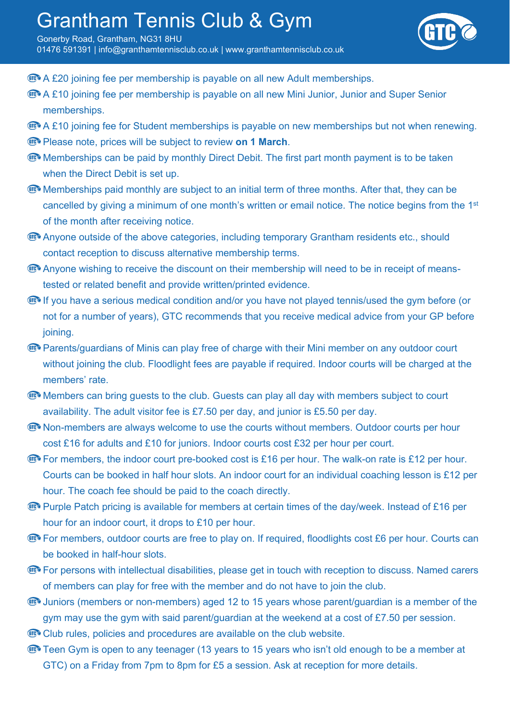### Grantham Tennis Club & Gym

Gonerby Road, Grantham, NG31 8HU 01476 591391 | info@granthamtennisclub.co.uk | www.granthamtennisclub.co.uk



- **EXA £20 joining fee per membership is payable on all new Adult memberships.**
- **The A £10 joining fee per membership is payable on all new Mini Junior, Junior and Super Senior** memberships.
- **The A £10 joining fee for Student memberships is payable on new memberships but not when renewing.**
- *C* Please note, prices will be subject to review on 1 March.
- **Memberships can be paid by monthly Direct Debit. The first part month payment is to be taken** when the Direct Debit is set up.
- Memberships paid monthly are subject to an initial term of three months. After that, they can be cancelled by giving a minimum of one month's written or email notice. The notice begins from the 1st of the month after receiving notice.
- **EXA** Anyone outside of the above categories, including temporary Grantham residents etc., should contact reception to discuss alternative membership terms.
- **The Anyone wishing to receive the discount on their membership will need to be in receipt of means**tested or related benefit and provide written/printed evidence.
- **If you have a serious medical condition and/or you have not played tennis/used the gym before (or** not for a number of years), GTC recommends that you receive medical advice from your GP before joining.
- **EXA** Parents/guardians of Minis can play free of charge with their Mini member on any outdoor court without joining the club. Floodlight fees are payable if required. Indoor courts will be charged at the members' rate.
- **EXCO** Members can bring guests to the club. Guests can play all day with members subject to court availability. The adult visitor fee is £7.50 per day, and junior is £5.50 per day.
- **EXA** Non-members are always welcome to use the courts without members. Outdoor courts per hour cost £16 for adults and £10 for juniors. Indoor courts cost £32 per hour per court.
- **EX** For members, the indoor court pre-booked cost is £16 per hour. The walk-on rate is £12 per hour. Courts can be booked in half hour slots. An indoor court for an individual coaching lesson is £12 per hour. The coach fee should be paid to the coach directly.
- **EXAMPLE Purple Patch pricing is available for members at certain times of the day/week. Instead of £16 per** hour for an indoor court, it drops to £10 per hour.
- **EXA:** For members, outdoor courts are free to play on. If required, floodlights cost £6 per hour. Courts can be booked in half-hour slots.
- **EX** For persons with intellectual disabilities, please get in touch with reception to discuss. Named carers of members can play for free with the member and do not have to join the club.
- **EX** Juniors (members or non-members) aged 12 to 15 years whose parent/guardian is a member of the gym may use the gym with said parent/guardian at the weekend at a cost of £7.50 per session.
- Club rules, policies and procedures are available on the club website.
- **The Gymeth Cannum Constructs** Teen Gymeth open to any teenager (13 years to 15 years who isn't old enough to be a member at GTC) on a Friday from 7pm to 8pm for £5 a session. Ask at reception for more details.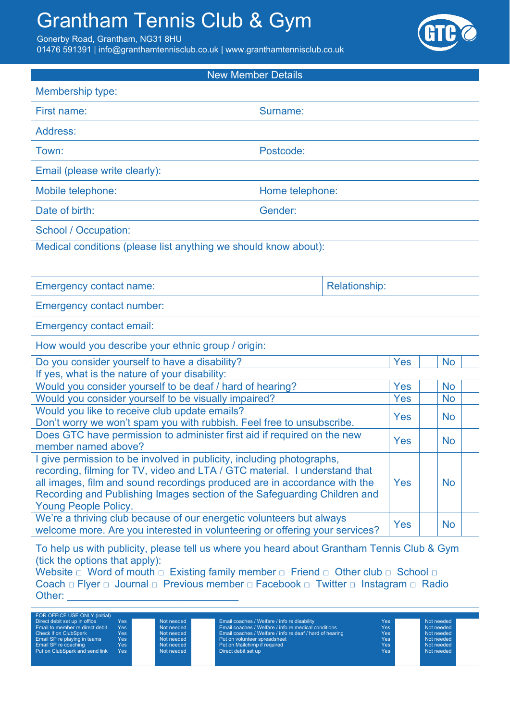# Grantham Tennis Club & Gym

Gonerby Road, Grantham, NG31 8HU

01476 591391 | info@granthamtennisclub.co.uk | www.granthamtennisclub.co.uk



| <b>New Member Details</b>                                                                                                                                                                                                                                                                                                                                                                                                                                                                                                                                                                                |                                              |            |           |            |  |  |  |  |
|----------------------------------------------------------------------------------------------------------------------------------------------------------------------------------------------------------------------------------------------------------------------------------------------------------------------------------------------------------------------------------------------------------------------------------------------------------------------------------------------------------------------------------------------------------------------------------------------------------|----------------------------------------------|------------|-----------|------------|--|--|--|--|
| Membership type:                                                                                                                                                                                                                                                                                                                                                                                                                                                                                                                                                                                         |                                              |            |           |            |  |  |  |  |
| First name:                                                                                                                                                                                                                                                                                                                                                                                                                                                                                                                                                                                              | Surname:                                     |            |           |            |  |  |  |  |
| Address:                                                                                                                                                                                                                                                                                                                                                                                                                                                                                                                                                                                                 |                                              |            |           |            |  |  |  |  |
| Town:                                                                                                                                                                                                                                                                                                                                                                                                                                                                                                                                                                                                    |                                              |            |           |            |  |  |  |  |
| Email (please write clearly):                                                                                                                                                                                                                                                                                                                                                                                                                                                                                                                                                                            |                                              |            |           |            |  |  |  |  |
| Mobile telephone:                                                                                                                                                                                                                                                                                                                                                                                                                                                                                                                                                                                        |                                              |            |           |            |  |  |  |  |
| Date of birth:                                                                                                                                                                                                                                                                                                                                                                                                                                                                                                                                                                                           | Gender:                                      |            |           |            |  |  |  |  |
| <b>School / Occupation:</b>                                                                                                                                                                                                                                                                                                                                                                                                                                                                                                                                                                              |                                              |            |           |            |  |  |  |  |
| Medical conditions (please list anything we should know about):                                                                                                                                                                                                                                                                                                                                                                                                                                                                                                                                          |                                              |            |           |            |  |  |  |  |
| <b>Emergency contact name:</b>                                                                                                                                                                                                                                                                                                                                                                                                                                                                                                                                                                           | <b>Relationship:</b>                         |            |           |            |  |  |  |  |
| <b>Emergency contact number:</b>                                                                                                                                                                                                                                                                                                                                                                                                                                                                                                                                                                         |                                              |            |           |            |  |  |  |  |
| <b>Emergency contact email:</b>                                                                                                                                                                                                                                                                                                                                                                                                                                                                                                                                                                          |                                              |            |           |            |  |  |  |  |
| How would you describe your ethnic group / origin:                                                                                                                                                                                                                                                                                                                                                                                                                                                                                                                                                       |                                              |            |           |            |  |  |  |  |
| Do you consider yourself to have a disability?                                                                                                                                                                                                                                                                                                                                                                                                                                                                                                                                                           |                                              | <b>Yes</b> | <b>No</b> |            |  |  |  |  |
| If yes, what is the nature of your disability:<br>Would you consider yourself to be deaf / hard of hearing?<br><b>Yes</b><br><b>No</b>                                                                                                                                                                                                                                                                                                                                                                                                                                                                   |                                              |            |           |            |  |  |  |  |
| Would you consider yourself to be visually impaired?                                                                                                                                                                                                                                                                                                                                                                                                                                                                                                                                                     | <b>Yes</b>                                   | <b>No</b>  |           |            |  |  |  |  |
| Would you like to receive club update emails?                                                                                                                                                                                                                                                                                                                                                                                                                                                                                                                                                            | <b>Yes</b>                                   | <b>No</b>  |           |            |  |  |  |  |
| Don't worry we won't spam you with rubbish. Feel free to unsubscribe.<br>Does GTC have permission to administer first aid if required on the new<br>member named above?                                                                                                                                                                                                                                                                                                                                                                                                                                  | Yes                                          | <b>No</b>  |           |            |  |  |  |  |
| I give permission to be involved in publicity, including photographs,<br>recording, filming for TV, video and LTA / GTC material. I understand that<br>all images, film and sound recordings produced are in accordance with the<br>Recording and Publishing Images section of the Safeguarding Children and<br><b>Young People Policy.</b>                                                                                                                                                                                                                                                              | <b>Yes</b>                                   | <b>No</b>  |           |            |  |  |  |  |
| We're a thriving club because of our energetic volunteers but always<br>welcome more. Are you interested in volunteering or offering your services?                                                                                                                                                                                                                                                                                                                                                                                                                                                      | <b>Yes</b>                                   | <b>No</b>  |           |            |  |  |  |  |
| To help us with publicity, please tell us where you heard about Grantham Tennis Club & Gym<br>(tick the options that apply):<br>Website $\Box$ Word of mouth $\Box$ Existing family member $\Box$ Friend $\Box$ Other club $\Box$ School $\Box$<br>Coach □ Flyer □ Journal □ Previous member □ Facebook □ Twitter □ Instagram □ Radio<br>Other: The Contract of the Contract of the Contract of the Contract of the Contract of the Contract of the Contract of the Contract of the Contract of the Contract of the Contract of the Contract of the Contract of the Con<br>FOR OFFICE USE ONLY (initial) |                                              |            |           |            |  |  |  |  |
| Yes<br>Not needed<br>Direct debit set up in office                                                                                                                                                                                                                                                                                                                                                                                                                                                                                                                                                       | Email coaches / Welfare / info re disability | Yes        |           | Not needed |  |  |  |  |

Direct debit set up in office Yes Not needed Famil coaches / Welfare / info re disability Yes Not needed Christ<br>Christ Christ Christ Christ Christ Christ Christ Christ Christ Christ Christ Christ Christ Christ Christ Chris